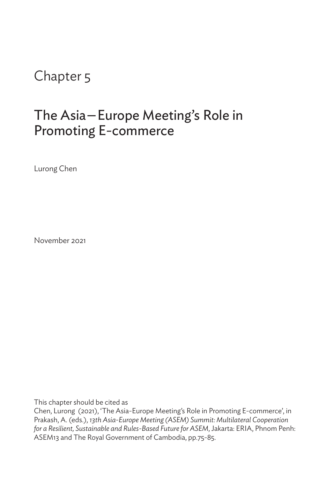# Chapter 5

# The Asia—Europe Meeting's Role in Promoting E-commerce

Lurong Chen

November 2021

This chapter should be cited as

Chen, Lurong (2021), 'The Asia-Europe Meeting's Role in Promoting E-commerce', in Prakash, A. (eds.), *13th Asia-Europe Meeting (ASEM) Summit: Multilateral Cooperation for a Resilient, Sustainable and Rules-Based Future for ASEM*, Jakarta: ERIA, Phnom Penh: ASEM13 and The Royal Government of Cambodia, pp.75-85.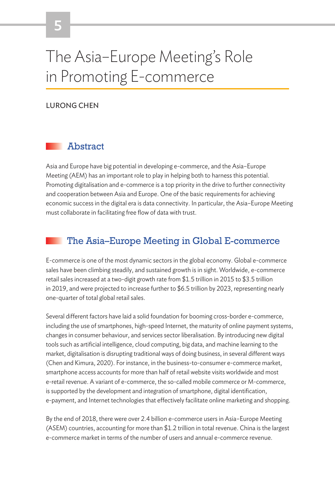# The Asia–Europe Meeting's Role in Promoting E-commerce

#### LURONG CHEN

### Abstract

Asia and Europe have big potential in developing e-commerce, and the Asia–Europe Meeting (AEM) has an important role to play in helping both to harness this potential. Promoting digitalisation and e-commerce is a top priority in the drive to further connectivity and cooperation between Asia and Europe. One of the basic requirements for achieving economic success in the digital era is data connectivity. In particular, the Asia–Europe Meeting must collaborate in facilitating free flow of data with trust.

## The Asia–Europe Meeting in Global E-commerce

E-commerce is one of the most dynamic sectors in the global economy. Global e-commerce sales have been climbing steadily, and sustained growth is in sight. Worldwide, e-commerce retail sales increased at a two-digit growth rate from \$1.5 trillion in 2015 to \$3.5 trillion in 2019, and were projected to increase further to \$6.5 trillion by 2023, representing nearly one-quarter of total global retail sales.

Several different factors have laid a solid foundation for booming cross-border e-commerce, including the use of smartphones, high-speed Internet, the maturity of online payment systems, changes in consumer behaviour, and services sector liberalisation. By introducing new digital tools such as artificial intelligence, cloud computing, big data, and machine learning to the market, digitalisation is disrupting traditional ways of doing business, in several different ways (Chen and Kimura, 2020). For instance, in the business-to-consumer e-commerce market, smartphone access accounts for more than half of retail website visits worldwide and most e-retail revenue. A variant of e-commerce, the so-called mobile commerce or M-commerce, is supported by the development and integration of smartphone, digital identification, e-payment, and Internet technologies that effectively facilitate online marketing and shopping.

By the end of 2018, there were over 2.4 billion e-commerce users in Asia–Europe Meeting (ASEM) countries, accounting for more than \$1.2 trillion in total revenue. China is the largest e-commerce market in terms of the number of users and annual e-commerce revenue.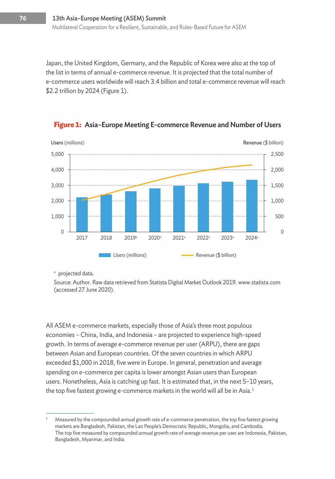Japan, the United Kingdom, Germany, and the Republic of Korea were also at the top of the list in terms of annual e-commerce revenue. It is projected that the total number of e-commerce users worldwide will reach 3.4 billion and total e-commerce revenue will reach \$2.2 trillion by 2024 (Figure 1).



**Figure 1:** Asia–Europe Meeting E-commerce Revenue and Number of Users

<sup>a</sup> projected data.

Source: Author. Raw data retrieved from Statista Digital Market Outlook 2019. www.statista.com (accessed 27 June 2020).

All ASEM e-commerce markets, especially those of Asia's three most populous economies – China, India, and Indonesia – are projected to experience high-speed growth. In terms of average e-commerce revenue per user (ARPU), there are gaps between Asian and European countries. Of the seven countries in which ARPU exceeded \$1,000 in 2018, five were in Europe. In general, penetration and average spending on e-commerce per capita is lower amongst Asian users than European users. Nonetheless, Asia is catching up fast. It is estimated that, in the next 5–10 years, the top five fastest growing e-commerce markets in the world will all be in Asia.<sup>1</sup>

Measured by the compounded annual growth rate of e-commerce penetration, the top five fastest growing markets are Bangladesh, Pakistan, the Lao People's Democratic Republic, Mongolia, and Cambodia. The top five measured by compounded annual growth rate of average revenue per user are Indonesia, Pakistan, Bangladesh, Myanmar, and India.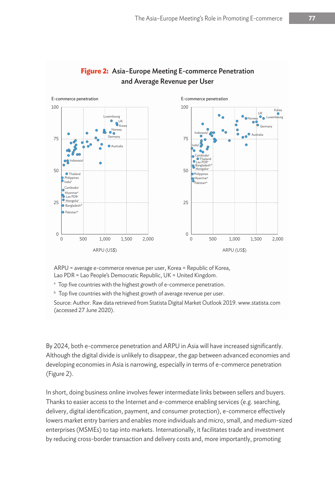

#### **Figure 2:** Asia–Europe Meeting E-commerce Penetration and Average Revenue per User

ARPU = average e-commerce revenue per user, Korea = Republic of Korea, Lao PDR = Lao People's Democratic Republic, UK = United Kingdom.

<sup>a</sup> Top five countries with the highest growth of e-commerce penetration.

 $^{\rm b}$  Top five countries with the highest growth of average revenue per user.

Source: Author. Raw data retrieved from Statista Digital Market Outlook 2019. www.statista.com (accessed 27 June 2020).

By 2024, both e-commerce penetration and ARPU in Asia will have increased significantly. Although the digital divide is unlikely to disappear, the gap between advanced economies and developing economies in Asia is narrowing, especially in terms of e-commerce penetration (Figure 2).

In short, doing business online involves fewer intermediate links between sellers and buyers. Thanks to easier access to the Internet and e-commerce enabling services (e.g. searching, delivery, digital identification, payment, and consumer protection), e-commerce effectively lowers market entry barriers and enables more individuals and micro, small, and medium-sized enterprises (MSMEs) to tap into markets. Internationally, it facilitates trade and investment by reducing cross-border transaction and delivery costs and, more importantly, promoting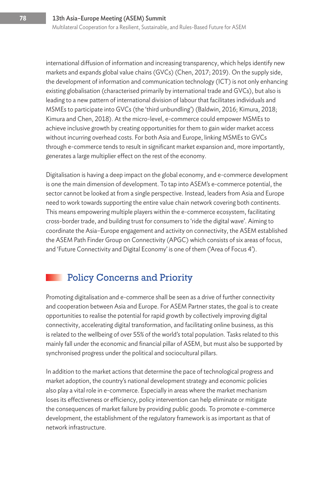international diffusion of information and increasing transparency, which helps identify new markets and expands global value chains (GVCs) (Chen, 2017; 2019). On the supply side, the development of information and communication technology (ICT) is not only enhancing existing globalisation (characterised primarily by international trade and GVCs), but also is leading to a new pattern of international division of labour that facilitates individuals and MSMEs to participate into GVCs (the 'third unbundling') (Baldwin, 2016; Kimura, 2018; Kimura and Chen, 2018). At the micro-level, e-commerce could empower MSMEs to achieve inclusive growth by creating opportunities for them to gain wider market access without incurring overhead costs. For both Asia and Europe, linking MSMEs to GVCs through e-commerce tends to result in significant market expansion and, more importantly, generates a large multiplier effect on the rest of the economy.

Digitalisation is having a deep impact on the global economy, and e-commerce development is one the main dimension of development. To tap into ASEM's e-commerce potential, the sector cannot be looked at from a single perspective. Instead, leaders from Asia and Europe need to work towards supporting the entire value chain network covering both continents. This means empowering multiple players within the e-commerce ecosystem, facilitating cross-border trade, and building trust for consumers to 'ride the digital wave'. Aiming to coordinate the Asia–Europe engagement and activity on connectivity, the ASEM established the ASEM Path Finder Group on Connectivity (APGC) which consists of six areas of focus, and 'Future Connectivity and Digital Economy' is one of them ('Area of Focus 4').

# Policy Concerns and Priority

Promoting digitalisation and e-commerce shall be seen as a drive of further connectivity and cooperation between Asia and Europe. For ASEM Partner states, the goal is to create opportunities to realise the potential for rapid growth by collectively improving digital connectivity, accelerating digital transformation, and facilitating online business, as this is related to the wellbeing of over 55% of the world's total population. Tasks related to this mainly fall under the economic and financial pillar of ASEM, but must also be supported by synchronised progress under the political and sociocultural pillars.

In addition to the market actions that determine the pace of technological progress and market adoption, the country's national development strategy and economic policies also play a vital role in e-commerce. Especially in areas where the market mechanism loses its effectiveness or efficiency, policy intervention can help eliminate or mitigate the consequences of market failure by providing public goods. To promote e-commerce development, the establishment of the regulatory framework is as important as that of network infrastructure.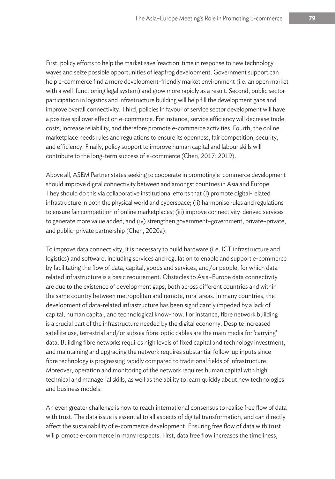First, policy efforts to help the market save 'reaction' time in response to new technology waves and seize possible opportunities of leapfrog development. Government support can help e-commerce find a more development-friendly market environment (i.e. an open market with a well-functioning legal system) and grow more rapidly as a result. Second, public sector participation in logistics and infrastructure building will help fill the development gaps and improve overall connectivity. Third, policies in favour of service sector development will have a positive spillover effect on e-commerce. For instance, service efficiency will decrease trade costs, increase reliability, and therefore promote e-commerce activities. Fourth, the online marketplace needs rules and regulations to ensure its openness, fair competition, security, and efficiency. Finally, policy support to improve human capital and labour skills will contribute to the long-term success of e-commerce (Chen, 2017; 2019).

Above all, ASEM Partner states seeking to cooperate in promoting e-commerce development should improve digital connectivity between and amongst countries in Asia and Europe. They should do this via collaborative institutional efforts that (i) promote digital-related infrastructure in both the physical world and cyberspace; (ii) harmonise rules and regulations to ensure fair competition of online marketplaces; (iii) improve connectivity-derived services to generate more value added; and (iv) strengthen government–government, private–private, and public–private partnership (Chen, 2020a).

To improve data connectivity, it is necessary to build hardware (i.e. ICT infrastructure and logistics) and software, including services and regulation to enable and support e-commerce by facilitating the flow of data, capital, goods and services, and/or people, for which datarelated infrastructure is a basic requirement. Obstacles to Asia–Europe data connectivity are due to the existence of development gaps, both across different countries and within the same country between metropolitan and remote, rural areas. In many countries, the development of data-related infrastructure has been significantly impeded by a lack of capital, human capital, and technological know-how. For instance, fibre network building is a crucial part of the infrastructure needed by the digital economy. Despite increased satellite use, terrestrial and/or subsea fibre-optic cables are the main media for 'carrying' data. Building fibre networks requires high levels of fixed capital and technology investment, and maintaining and upgrading the network requires substantial follow-up inputs since fibre technology is progressing rapidly compared to traditional fields of infrastructure. Moreover, operation and monitoring of the network requires human capital with high technical and managerial skills, as well as the ability to learn quickly about new technologies and business models.

An even greater challenge is how to reach international consensus to realise free flow of data with trust. The data issue is essential to all aspects of digital transformation, and can directly affect the sustainability of e-commerce development. Ensuring free flow of data with trust will promote e-commerce in many respects. First, data free flow increases the timeliness,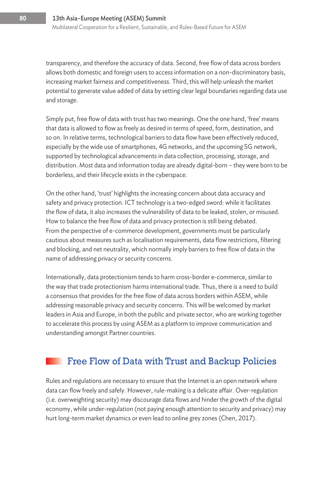transparency, and therefore the accuracy of data. Second, free flow of data across borders allows both domestic and foreign users to access information on a non-discriminatory basis, increasing market fairness and competitiveness. Third, this will help unleash the market potential to generate value added of data by setting clear legal boundaries regarding data use and storage.

Simply put, free flow of data with trust has two meanings. One the one hand, 'free' means that data is allowed to flow as freely as desired in terms of speed, form, destination, and so on. In relative terms, technological barriers to data flow have been effectively reduced, especially by the wide use of smartphones, 4G networks, and the upcoming 5G network, supported by technological advancements in data collection, processing, storage, and distribution. Most data and information today are already digital-born – they were born to be borderless, and their lifecycle exists in the cyberspace.

On the other hand, 'trust' highlights the increasing concern about data accuracy and safety and privacy protection. ICT technology is a two-edged sword: while it facilitates the flow of data, it also increases the vulnerability of data to be leaked, stolen, or misused. How to balance the free flow of data and privacy protection is still being debated. From the perspective of e-commerce development, governments must be particularly cautious about measures such as localisation requirements, data flow restrictions, filtering and blocking, and net neutrality, which normally imply barriers to free flow of data in the name of addressing privacy or security concerns.

Internationally, data protectionism tends to harm cross-border e-commerce, similar to the way that trade protectionism harms international trade. Thus, there is a need to build a consensus that provides for the free flow of data across borders within ASEM, while addressing reasonable privacy and security concerns. This will be welcomed by market leaders in Asia and Europe, in both the public and private sector, who are working together to accelerate this process by using ASEM as a platform to improve communication and understanding amongst Partner countries.

## Free Flow of Data with Trust and Backup Policies

Rules and regulations are necessary to ensure that the Internet is an open network where data can flow freely and safely. However, rule-making is a delicate affair. Over-regulation (i.e. overweighting security) may discourage data flows and hinder the growth of the digital economy, while under-regulation (not paying enough attention to security and privacy) may hurt long-term market dynamics or even lead to online grey zones (Chen, 2017).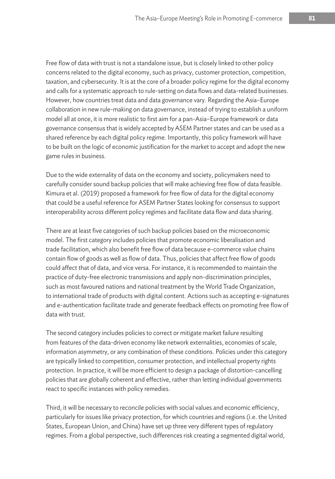Free flow of data with trust is not a standalone issue, but is closely linked to other policy concerns related to the digital economy, such as privacy, customer protection, competition, taxation, and cybersecurity. It is at the core of a broader policy regime for the digital economy and calls for a systematic approach to rule-setting on data flows and data-related businesses. However, how countries treat data and data governance vary. Regarding the Asia–Europe collaboration in new rule-making on data governance, instead of trying to establish a uniform model all at once, it is more realistic to first aim for a pan-Asia–Europe framework or data governance consensus that is widely accepted by ASEM Partner states and can be used as a shared reference by each digital policy regime. Importantly, this policy framework will have to be built on the logic of economic justification for the market to accept and adopt the new game rules in business.

Due to the wide externality of data on the economy and society, policymakers need to carefully consider sound backup policies that will make achieving free flow of data feasible. Kimura et al. (2019) proposed a framework for free flow of data for the digital economy that could be a useful reference for ASEM Partner States looking for consensus to support interoperability across different policy regimes and facilitate data flow and data sharing.

There are at least five categories of such backup policies based on the microeconomic model. The first category includes policies that promote economic liberalisation and trade facilitation, which also benefit free flow of data because e-commerce value chains contain flow of goods as well as flow of data. Thus, policies that affect free flow of goods could affect that of data, and vice versa. For instance, it is recommended to maintain the practice of duty-free electronic transmissions and apply non-discrimination principles, such as most favoured nations and national treatment by the World Trade Organization, to international trade of products with digital content. Actions such as accepting e-signatures and e-authentication facilitate trade and generate feedback effects on promoting free flow of data with trust.

The second category includes policies to correct or mitigate market failure resulting from features of the data-driven economy like network externalities, economies of scale, information asymmetry, or any combination of these conditions. Policies under this category are typically linked to competition, consumer protection, and intellectual property rights protection. In practice, it will be more efficient to design a package of distortion-cancelling policies that are globally coherent and effective, rather than letting individual governments react to specific instances with policy remedies.

Third, it will be necessary to reconcile policies with social values and economic efficiency, particularly for issues like privacy protection, for which countries and regions (i.e. the United States, European Union, and China) have set up three very different types of regulatory regimes. From a global perspective, such differences risk creating a segmented digital world,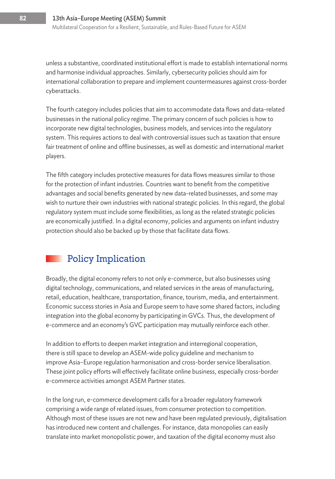unless a substantive, coordinated institutional effort is made to establish international norms and harmonise individual approaches. Similarly, cybersecurity policies should aim for international collaboration to prepare and implement countermeasures against cross-border cyberattacks.

The fourth category includes policies that aim to accommodate data flows and data-related businesses in the national policy regime. The primary concern of such policies is how to incorporate new digital technologies, business models, and services into the regulatory system. This requires actions to deal with controversial issues such as taxation that ensure fair treatment of online and offline businesses, as well as domestic and international market players.

The fifth category includes protective measures for data flows measures similar to those for the protection of infant industries. Countries want to benefit from the competitive advantages and social benefits generated by new data-related businesses, and some may wish to nurture their own industries with national strategic policies. In this regard, the global regulatory system must include some flexibilities, as long as the related strategic policies are economically justified. In a digital economy, policies and arguments on infant industry protection should also be backed up by those that facilitate data flows.

# Policy Implication

Broadly, the digital economy refers to not only e-commerce, but also businesses using digital technology, communications, and related services in the areas of manufacturing, retail, education, healthcare, transportation, finance, tourism, media, and entertainment. Economic success stories in Asia and Europe seem to have some shared factors, including integration into the global economy by participating in GVCs. Thus, the development of e-commerce and an economy's GVC participation may mutually reinforce each other.

In addition to efforts to deepen market integration and interregional cooperation, there is still space to develop an ASEM-wide policy guideline and mechanism to improve Asia–Europe regulation harmonisation and cross-border service liberalisation. These joint policy efforts will effectively facilitate online business, especially cross-border e-commerce activities amongst ASEM Partner states.

In the long run, e-commerce development calls for a broader regulatory framework comprising a wide range of related issues, from consumer protection to competition. Although most of these issues are not new and have been regulated previously, digitalisation has introduced new content and challenges. For instance, data monopolies can easily translate into market monopolistic power, and taxation of the digital economy must also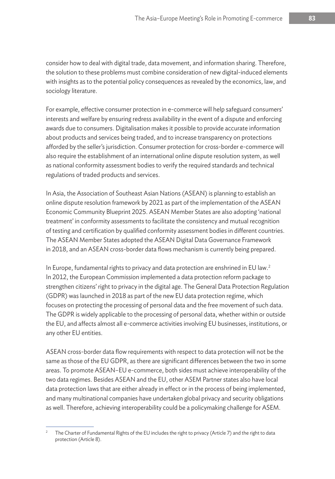consider how to deal with digital trade, data movement, and information sharing. Therefore, the solution to these problems must combine consideration of new digital-induced elements with insights as to the potential policy consequences as revealed by the economics, law, and sociology literature.

For example, effective consumer protection in e-commerce will help safeguard consumers' interests and welfare by ensuring redress availability in the event of a dispute and enforcing awards due to consumers. Digitalisation makes it possible to provide accurate information about products and services being traded, and to increase transparency on protections afforded by the seller's jurisdiction. Consumer protection for cross-border e-commerce will also require the establishment of an international online dispute resolution system, as well as national conformity assessment bodies to verify the required standards and technical regulations of traded products and services.

In Asia, the Association of Southeast Asian Nations (ASEAN) is planning to establish an online dispute resolution framework by 2021 as part of the implementation of the ASEAN Economic Community Blueprint 2025. ASEAN Member States are also adopting 'national treatment' in conformity assessments to facilitate the consistency and mutual recognition of testing and certification by qualified conformity assessment bodies in different countries. The ASEAN Member States adopted the ASEAN Digital Data Governance Framework in 2018, and an ASEAN cross-border data flows mechanism is currently being prepared.

In Europe, fundamental rights to privacy and data protection are enshrined in EU law.<sup>2</sup> In 2012, the European Commission implemented a data protection reform package to strengthen citizens' right to privacy in the digital age. The General Data Protection Regulation (GDPR) was launched in 2018 as part of the new EU data protection regime, which focuses on protecting the processing of personal data and the free movement of such data. The GDPR is widely applicable to the processing of personal data, whether within or outside the EU, and affects almost all e-commerce activities involving EU businesses, institutions, or any other EU entities.

ASEAN cross-border data flow requirements with respect to data protection will not be the same as those of the EU GDPR, as there are significant differences between the two in some areas. To promote ASEAN–EU e-commerce, both sides must achieve interoperability of the two data regimes. Besides ASEAN and the EU, other ASEM Partner states also have local data protection laws that are either already in effect or in the process of being implemented, and many multinational companies have undertaken global privacy and security obligations as well. Therefore, achieving interoperability could be a policymaking challenge for ASEM.

The Charter of Fundamental Rights of the EU includes the right to privacy (Article 7) and the right to data protection (Article 8).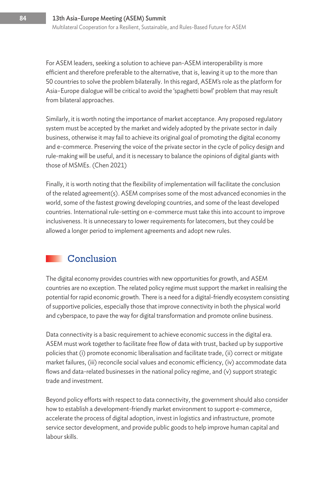For ASEM leaders, seeking a solution to achieve pan-ASEM interoperability is more efficient and therefore preferable to the alternative, that is, leaving it up to the more than 50 countries to solve the problem bilaterally. In this regard, ASEM's role as the platform for Asia–Europe dialogue will be critical to avoid the 'spaghetti bowl' problem that may result from bilateral approaches.

Similarly, it is worth noting the importance of market acceptance. Any proposed regulatory system must be accepted by the market and widely adopted by the private sector in daily business, otherwise it may fail to achieve its original goal of promoting the digital economy and e-commerce. Preserving the voice of the private sector in the cycle of policy design and rule-making will be useful, and it is necessary to balance the opinions of digital giants with those of MSMEs. (Chen 2021)

Finally, it is worth noting that the flexibility of implementation will facilitate the conclusion of the related agreement(s). ASEM comprises some of the most advanced economies in the world, some of the fastest growing developing countries, and some of the least developed countries. International rule-setting on e-commerce must take this into account to improve inclusiveness. It is unnecessary to lower requirements for latecomers, but they could be allowed a longer period to implement agreements and adopt new rules.

# Conclusion

The digital economy provides countries with new opportunities for growth, and ASEM countries are no exception. The related policy regime must support the market in realising the potential for rapid economic growth. There is a need for a digital-friendly ecosystem consisting of supportive policies, especially those that improve connectivity in both the physical world and cyberspace, to pave the way for digital transformation and promote online business.

Data connectivity is a basic requirement to achieve economic success in the digital era. ASEM must work together to facilitate free flow of data with trust, backed up by supportive policies that (i) promote economic liberalisation and facilitate trade, (ii) correct or mitigate market failures, (iii) reconcile social values and economic efficiency, (iv) accommodate data flows and data-related businesses in the national policy regime, and (v) support strategic trade and investment.

Beyond policy efforts with respect to data connectivity, the government should also consider how to establish a development-friendly market environment to support e-commerce, accelerate the process of digital adoption, invest in logistics and infrastructure, promote service sector development, and provide public goods to help improve human capital and labour skills.